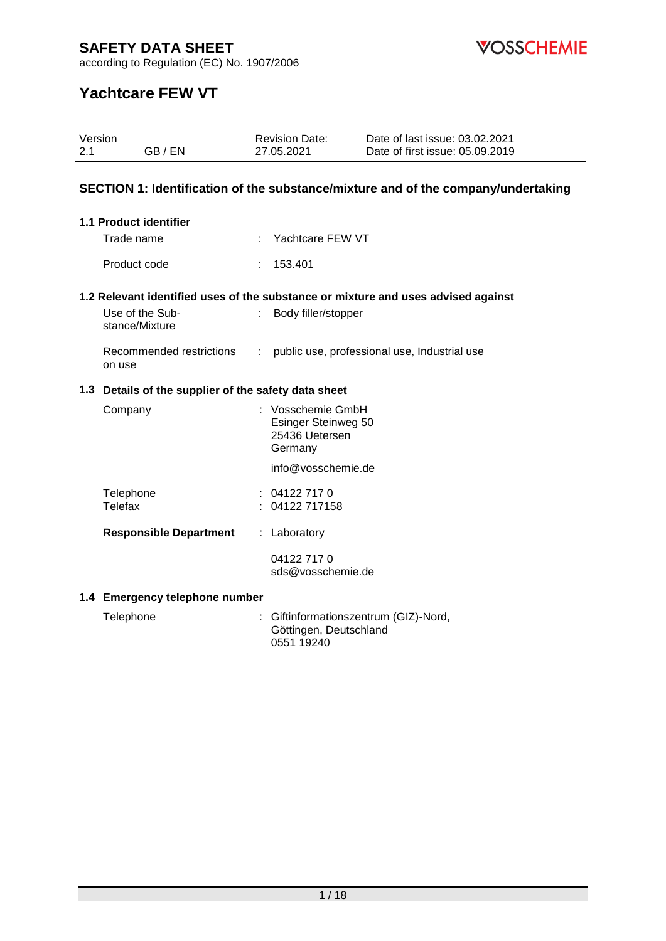

according to Regulation (EC) No. 1907/2006

# **Yachtcare FEW VT**

| Version<br>2.1 | GB/EN                                                | <b>Revision Date:</b><br>27.05.2021                                   | Date of last issue: 03.02.2021<br>Date of first issue: 05.09.2019                 |
|----------------|------------------------------------------------------|-----------------------------------------------------------------------|-----------------------------------------------------------------------------------|
|                |                                                      |                                                                       | SECTION 1: Identification of the substance/mixture and of the company/undertaking |
|                | 1.1 Product identifier                               |                                                                       |                                                                                   |
|                | Trade name                                           | Yachtcare FEW VT                                                      |                                                                                   |
|                | Product code                                         | 153.401                                                               |                                                                                   |
|                |                                                      |                                                                       | 1.2 Relevant identified uses of the substance or mixture and uses advised against |
|                | Use of the Sub-<br>stance/Mixture                    | Body filler/stopper<br>t.                                             |                                                                                   |
|                | Recommended restrictions<br>on use                   |                                                                       | : public use, professional use, Industrial use                                    |
|                | 1.3 Details of the supplier of the safety data sheet |                                                                       |                                                                                   |
|                | Company                                              | : Vosschemie GmbH<br>Esinger Steinweg 50<br>25436 Uetersen<br>Germany |                                                                                   |
|                |                                                      | info@vosschemie.de                                                    |                                                                                   |
|                | Telephone<br><b>Telefax</b>                          | 04122 717 0<br>04122 717158                                           |                                                                                   |
|                | <b>Responsible Department</b>                        | : Laboratory                                                          |                                                                                   |
|                |                                                      | 04122 717 0<br>sds@vosschemie.de                                      |                                                                                   |
|                | 1.4 Emergency telephone number                       |                                                                       |                                                                                   |
|                | Telephone                                            |                                                                       | Giftinformationszentrum (GIZ)-Nord,                                               |

Göttingen, Deutschland

0551 19240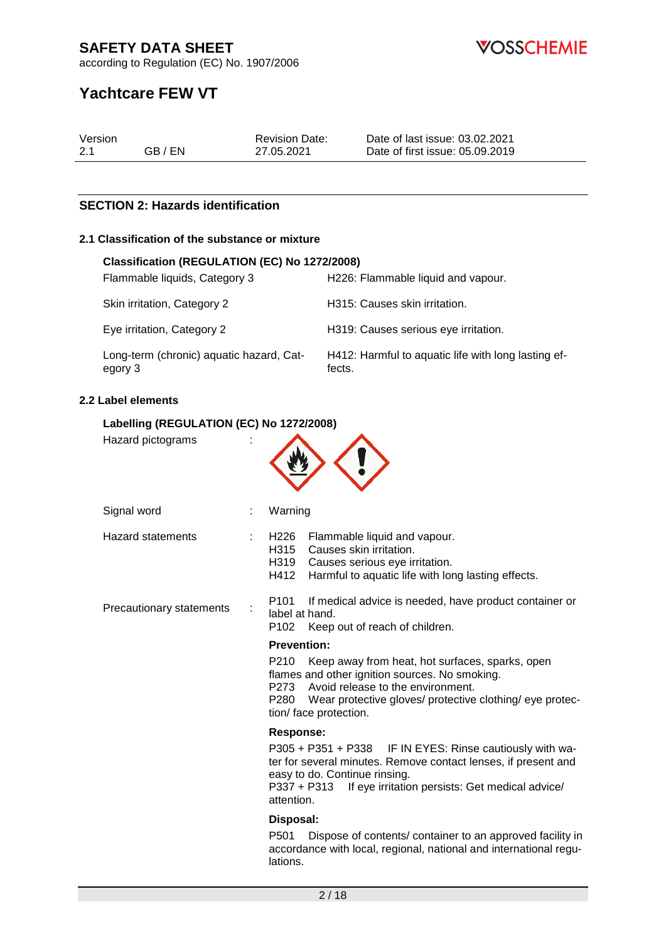according to Regulation (EC) No. 1907/2006

**VOSSCHEMIE** 

# **Yachtcare FEW VT**

| Version |         | <b>Revision Date:</b> | Date of last issue: 03.02.2021  |
|---------|---------|-----------------------|---------------------------------|
| 2.1     | GB / EN | 27.05.2021            | Date of first issue: 05.09.2019 |

#### **SECTION 2: Hazards identification**

#### **2.1 Classification of the substance or mixture**

| Classification (REGULATION (EC) No 1272/2008)       |                                                               |  |  |  |  |  |
|-----------------------------------------------------|---------------------------------------------------------------|--|--|--|--|--|
| Flammable liquids, Category 3                       | H226: Flammable liquid and vapour.                            |  |  |  |  |  |
| Skin irritation, Category 2                         | H315: Causes skin irritation.                                 |  |  |  |  |  |
| Eye irritation, Category 2                          | H319: Causes serious eye irritation.                          |  |  |  |  |  |
| Long-term (chronic) aquatic hazard, Cat-<br>egory 3 | H412: Harmful to aquatic life with long lasting ef-<br>fects. |  |  |  |  |  |

#### **2.2 Label elements**

#### **Labelling (REGULATION (EC) No 1272/2008)**

| Hazard pictograms        |  |                                                                                                                                                                                                                                                   |  |
|--------------------------|--|---------------------------------------------------------------------------------------------------------------------------------------------------------------------------------------------------------------------------------------------------|--|
| Signal word              |  | Warning                                                                                                                                                                                                                                           |  |
| <b>Hazard statements</b> |  | H226 Flammable liquid and vapour.<br>Causes skin irritation.<br>H315<br>H319<br>Causes serious eye irritation.<br>H412<br>Harmful to aquatic life with long lasting effects.                                                                      |  |
| Precautionary statements |  | P <sub>101</sub><br>If medical advice is needed, have product container or<br>label at hand.<br>P <sub>102</sub><br>Keep out of reach of children.                                                                                                |  |
|                          |  | <b>Prevention:</b>                                                                                                                                                                                                                                |  |
|                          |  | P210<br>Keep away from heat, hot surfaces, sparks, open<br>flames and other ignition sources. No smoking.<br>P273 Avoid release to the environment.<br>P280<br>Wear protective gloves/ protective clothing/ eye protec-<br>tion/ face protection. |  |
|                          |  | <b>Response:</b>                                                                                                                                                                                                                                  |  |
|                          |  | P305 + P351 + P338 IF IN EYES: Rinse cautiously with wa-<br>ter for several minutes. Remove contact lenses, if present and<br>easy to do. Continue rinsing.<br>P337 + P313<br>If eye irritation persists: Get medical advice/<br>attention.       |  |
|                          |  | Disposal:                                                                                                                                                                                                                                         |  |
|                          |  | P501<br>Dispose of contents/ container to an approved facility in<br>accordance with local, regional, national and international regu-<br>lations.                                                                                                |  |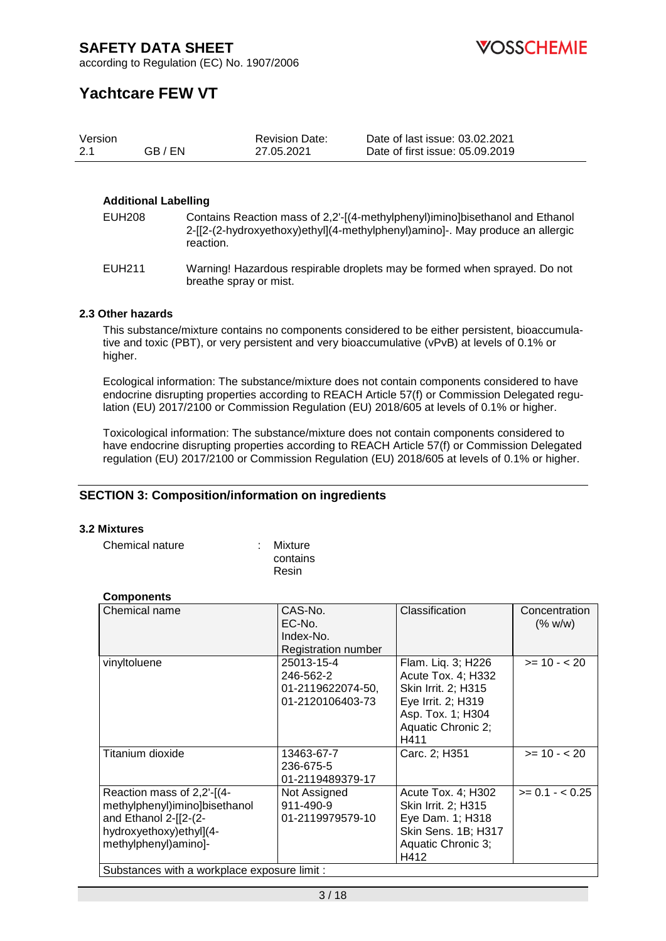according to Regulation (EC) No. 1907/2006

# **Yachtcare FEW VT**

| Version |         | <b>Revision Date:</b> | Date of last issue: 03.02.2021  |
|---------|---------|-----------------------|---------------------------------|
| -2.1    | GB / EN | 27.05.2021            | Date of first issue: 05.09.2019 |

#### **Additional Labelling**

| EUH208 | Contains Reaction mass of 2,2'-[(4-methylphenyl)imino]bisethanol and Ethanol  |
|--------|-------------------------------------------------------------------------------|
|        | 2-[[2-(2-hydroxyethoxy)ethyl](4-methylphenyl)amino]-. May produce an allergic |
|        | reaction.                                                                     |

EUH211 Warning! Hazardous respirable droplets may be formed when sprayed. Do not breathe spray or mist.

#### **2.3 Other hazards**

This substance/mixture contains no components considered to be either persistent, bioaccumulative and toxic (PBT), or very persistent and very bioaccumulative (vPvB) at levels of 0.1% or higher.

Ecological information: The substance/mixture does not contain components considered to have endocrine disrupting properties according to REACH Article 57(f) or Commission Delegated regulation (EU) 2017/2100 or Commission Regulation (EU) 2018/605 at levels of 0.1% or higher.

Toxicological information: The substance/mixture does not contain components considered to have endocrine disrupting properties according to REACH Article 57(f) or Commission Delegated regulation (EU) 2017/2100 or Commission Regulation (EU) 2018/605 at levels of 0.1% or higher.

#### **SECTION 3: Composition/information on ingredients**

#### **3.2 Mixtures**

Chemical nature : Mixture

contains Resin

| <b>Components</b>                                                     |
|-----------------------------------------------------------------------|
| $\bigcap$ $\bigcup$ $\bigcap$ $\bigcap$ $\bigcap$ $\bigcap$ $\bigcap$ |

| Chemical name                                                                                                                            | CAS-No.<br>EC-No.<br>Index-No.<br>Registration number            | Classification                                                                                                                           | Concentration<br>(% w/w) |  |
|------------------------------------------------------------------------------------------------------------------------------------------|------------------------------------------------------------------|------------------------------------------------------------------------------------------------------------------------------------------|--------------------------|--|
| vinyltoluene                                                                                                                             | 25013-15-4<br>246-562-2<br>01-2119622074-50,<br>01-2120106403-73 | Flam. Liq. 3; H226<br>Acute Tox. 4; H332<br>Skin Irrit. 2; H315<br>Eye Irrit. 2; H319<br>Asp. Tox. 1; H304<br>Aquatic Chronic 2;<br>H411 | $>= 10 - 20$             |  |
| Titanium dioxide                                                                                                                         | 13463-67-7<br>236-675-5<br>01-2119489379-17                      | Carc. 2; H351                                                                                                                            | $>= 10 - 20$             |  |
| Reaction mass of 2,2'-[(4-<br>methylphenyl)imino]bisethanol<br>and Ethanol $2-[2-(2-$<br>hydroxyethoxy)ethyl](4-<br>methylphenyl)amino]- | Not Assigned<br>911-490-9<br>01-2119979579-10                    | Acute Tox. 4; H302<br>Skin Irrit. 2; H315<br>Eye Dam. 1; H318<br>Skin Sens. 1B; H317<br>Aquatic Chronic 3;<br>H412                       | $>= 0.1 - < 0.25$        |  |
| Substances with a workplace exposure limit :                                                                                             |                                                                  |                                                                                                                                          |                          |  |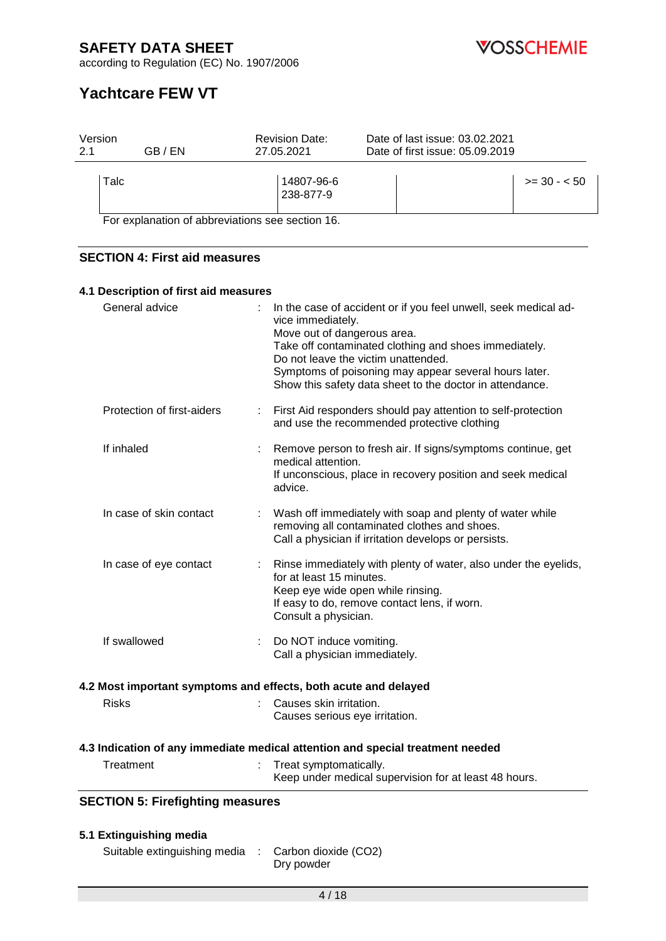

according to Regulation (EC) No. 1907/2006

# **Yachtcare FEW VT**

| Version<br>GB / EN<br>2.1                                       | <b>Revision Date:</b><br>27.05.2021                       | Date of last issue: 03.02.2021<br>Date of first issue: 05.09.2019                                                                                                                                                                                                                    |
|-----------------------------------------------------------------|-----------------------------------------------------------|--------------------------------------------------------------------------------------------------------------------------------------------------------------------------------------------------------------------------------------------------------------------------------------|
| Talc                                                            | 14807-96-6<br>238-877-9                                   | $>= 30 - 50$                                                                                                                                                                                                                                                                         |
| For explanation of abbreviations see section 16.                |                                                           |                                                                                                                                                                                                                                                                                      |
| <b>SECTION 4: First aid measures</b>                            |                                                           |                                                                                                                                                                                                                                                                                      |
| 4.1 Description of first aid measures                           |                                                           |                                                                                                                                                                                                                                                                                      |
| General advice                                                  | vice immediately.<br>Move out of dangerous area.          | In the case of accident or if you feel unwell, seek medical ad-<br>Take off contaminated clothing and shoes immediately.<br>Do not leave the victim unattended.<br>Symptoms of poisoning may appear several hours later.<br>Show this safety data sheet to the doctor in attendance. |
| Protection of first-aiders                                      |                                                           | First Aid responders should pay attention to self-protection<br>and use the recommended protective clothing                                                                                                                                                                          |
| If inhaled                                                      | medical attention.<br>advice.                             | Remove person to fresh air. If signs/symptoms continue, get<br>If unconscious, place in recovery position and seek medical                                                                                                                                                           |
| In case of skin contact                                         |                                                           | Wash off immediately with soap and plenty of water while<br>removing all contaminated clothes and shoes.<br>Call a physician if irritation develops or persists.                                                                                                                     |
| In case of eye contact                                          | for at least 15 minutes.<br>Consult a physician.          | Rinse immediately with plenty of water, also under the eyelids,<br>Keep eye wide open while rinsing.<br>If easy to do, remove contact lens, if worn.                                                                                                                                 |
| If swallowed                                                    | Do NOT induce vomiting.<br>Call a physician immediately.  |                                                                                                                                                                                                                                                                                      |
| 4.2 Most important symptoms and effects, both acute and delayed |                                                           |                                                                                                                                                                                                                                                                                      |
| <b>Risks</b>                                                    | Causes skin irritation.<br>Causes serious eye irritation. |                                                                                                                                                                                                                                                                                      |
|                                                                 |                                                           | 4.3 Indication of any immediate medical attention and special treatment needed                                                                                                                                                                                                       |
| Treatment                                                       | Treat symptomatically.                                    | Keep under medical supervision for at least 48 hours.                                                                                                                                                                                                                                |
| <b>SECTION 5: Firefighting measures</b>                         |                                                           |                                                                                                                                                                                                                                                                                      |
| 5.1 Extinguishing media<br>Suitable extinguishing media         | Carbon dioxide (CO2)                                      |                                                                                                                                                                                                                                                                                      |

Dry powder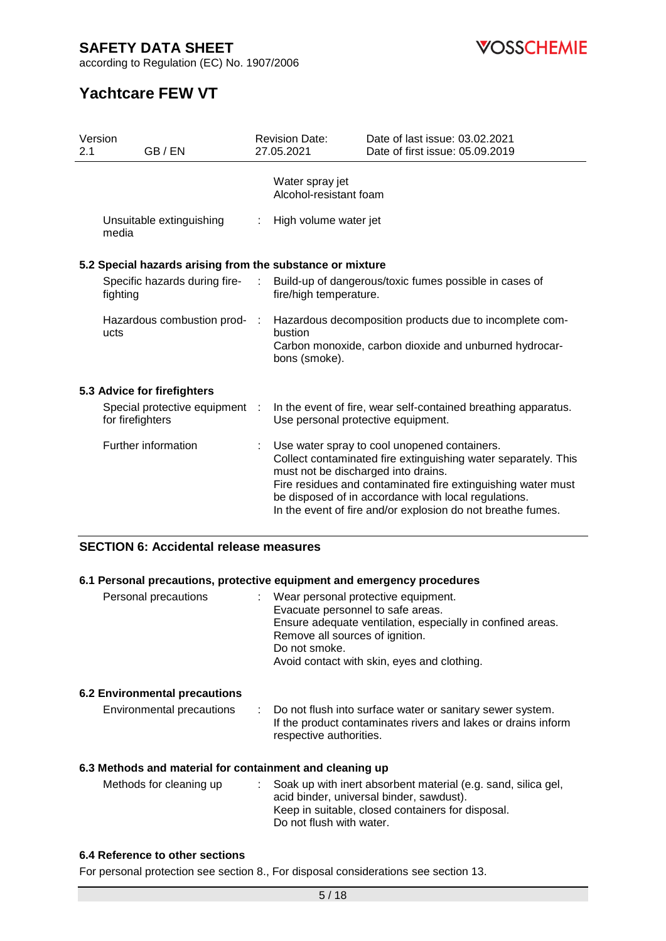**VOSSCHEMIE** 

according to Regulation (EC) No. 1907/2006

# **Yachtcare FEW VT**

| Version<br>2.1 | GB / EN                                                   |                             | <b>Revision Date:</b><br>27.05.2021       | Date of last issue: 03.02.2021<br>Date of first issue: 05.09.2019                                                                                                                                                                                                                                     |
|----------------|-----------------------------------------------------------|-----------------------------|-------------------------------------------|-------------------------------------------------------------------------------------------------------------------------------------------------------------------------------------------------------------------------------------------------------------------------------------------------------|
|                |                                                           |                             | Water spray jet<br>Alcohol-resistant foam |                                                                                                                                                                                                                                                                                                       |
|                | Unsuitable extinguishing<br>media                         | ÷                           | High volume water jet                     |                                                                                                                                                                                                                                                                                                       |
|                | 5.2 Special hazards arising from the substance or mixture |                             |                                           |                                                                                                                                                                                                                                                                                                       |
|                | Specific hazards during fire-<br>fighting                 | $\mathcal{L}^{\mathcal{A}}$ | fire/high temperature.                    | Build-up of dangerous/toxic fumes possible in cases of                                                                                                                                                                                                                                                |
|                | Hazardous combustion prod-<br>ucts                        | $\sim$ 1.                   | bustion<br>bons (smoke).                  | Hazardous decomposition products due to incomplete com-<br>Carbon monoxide, carbon dioxide and unburned hydrocar-                                                                                                                                                                                     |
|                | 5.3 Advice for firefighters                               |                             |                                           |                                                                                                                                                                                                                                                                                                       |
|                | Special protective equipment<br>for firefighters          | $\pm$                       | Use personal protective equipment.        | In the event of fire, wear self-contained breathing apparatus.                                                                                                                                                                                                                                        |
|                | Further information                                       |                             | must not be discharged into drains.       | Use water spray to cool unopened containers.<br>Collect contaminated fire extinguishing water separately. This<br>Fire residues and contaminated fire extinguishing water must<br>be disposed of in accordance with local regulations.<br>In the event of fire and/or explosion do not breathe fumes. |

### **SECTION 6: Accidental release measures**

#### **6.1 Personal precautions, protective equipment and emergency procedures**

| Personal precautions | Wear personal protective equipment.<br>÷                   |  |
|----------------------|------------------------------------------------------------|--|
|                      | Evacuate personnel to safe areas.                          |  |
|                      | Ensure adequate ventilation, especially in confined areas. |  |
|                      | Remove all sources of ignition.                            |  |
|                      | Do not smoke.                                              |  |
|                      | Avoid contact with skin, eyes and clothing.                |  |
|                      |                                                            |  |
|                      |                                                            |  |

#### **6.2 Environmental precautions**

| Environmental precautions | : Do not flush into surface water or sanitary sewer system.<br>If the product contaminates rivers and lakes or drains inform |
|---------------------------|------------------------------------------------------------------------------------------------------------------------------|
|                           | respective authorities.                                                                                                      |

#### **6.3 Methods and material for containment and cleaning up**

| Methods for cleaning up | : Soak up with inert absorbent material (e.g. sand, silica gel,<br>acid binder, universal binder, sawdust).<br>Keep in suitable, closed containers for disposal.<br>Do not flush with water. |
|-------------------------|----------------------------------------------------------------------------------------------------------------------------------------------------------------------------------------------|
|                         |                                                                                                                                                                                              |

#### **6.4 Reference to other sections**

For personal protection see section 8., For disposal considerations see section 13.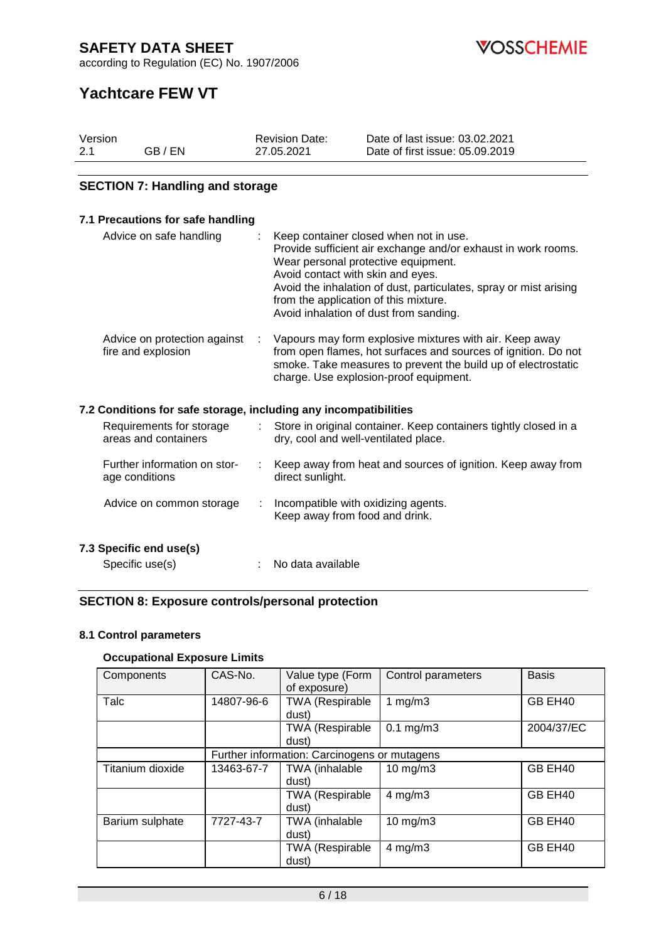according to Regulation (EC) No. 1907/2006

*COSSCHEMIE* 

# **Yachtcare FEW VT**

| Version |         | <b>Revision Date:</b> | Date of last issue: 03.02.2021  |
|---------|---------|-----------------------|---------------------------------|
| 2.1     | GB / EN | 27.05.2021            | Date of first issue: 05.09.2019 |

#### **SECTION 7: Handling and storage**

#### **7.1 Precautions for safe handling** Advice on safe handling : Keep container closed when not in use. Provide sufficient air exchange and/or exhaust in work rooms. Wear personal protective equipment. Avoid contact with skin and eyes. Avoid the inhalation of dust, particulates, spray or mist arising from the application of this mixture. Avoid inhalation of dust from sanding. Advice on protection against : fire and explosion : Vapours may form explosive mixtures with air. Keep away from open flames, hot surfaces and sources of ignition. Do not smoke. Take measures to prevent the build up of electrostatic charge. Use explosion-proof equipment. **7.2 Conditions for safe storage, including any incompatibilities** Requirements for storage areas and containers : Store in original container. Keep containers tightly closed in a dry, cool and well-ventilated place. Further information on storage conditions : Keep away from heat and sources of ignition. Keep away from direct sunlight. Advice on common storage : Incompatible with oxidizing agents. Keep away from food and drink.

**7.3 Specific end use(s)**

Specific use(s) : No data available

### **SECTION 8: Exposure controls/personal protection**

#### **8.1 Control parameters**

#### **Occupational Exposure Limits**

| Components       | CAS-No.                                      | Value type (Form<br>of exposure) | Control parameters | <b>Basis</b> |  |
|------------------|----------------------------------------------|----------------------------------|--------------------|--------------|--|
| Talc             | 14807-96-6                                   | <b>TWA (Respirable</b>           | 1 $mg/m3$          | GB EH40      |  |
|                  |                                              | dust)                            |                    |              |  |
|                  |                                              | TWA (Respirable                  | $0.1$ mg/m $3$     | 2004/37/EC   |  |
|                  |                                              | dust)                            |                    |              |  |
|                  | Further information: Carcinogens or mutagens |                                  |                    |              |  |
| Titanium dioxide | 13463-67-7                                   | TWA (inhalable                   | $10$ mg/m $3$      | GB EH40      |  |
|                  |                                              | dust)                            |                    |              |  |
|                  |                                              | TWA (Respirable                  | $4$ mg/m $3$       | GB EH40      |  |
|                  |                                              | dust)                            |                    |              |  |
| Barium sulphate  | 7727-43-7                                    | TWA (inhalable                   | $10$ mg/m $3$      | GB EH40      |  |
|                  |                                              | dust)                            |                    |              |  |
|                  |                                              | TWA (Respirable                  | $4$ mg/m $3$       | GB EH40      |  |
|                  |                                              | dust)                            |                    |              |  |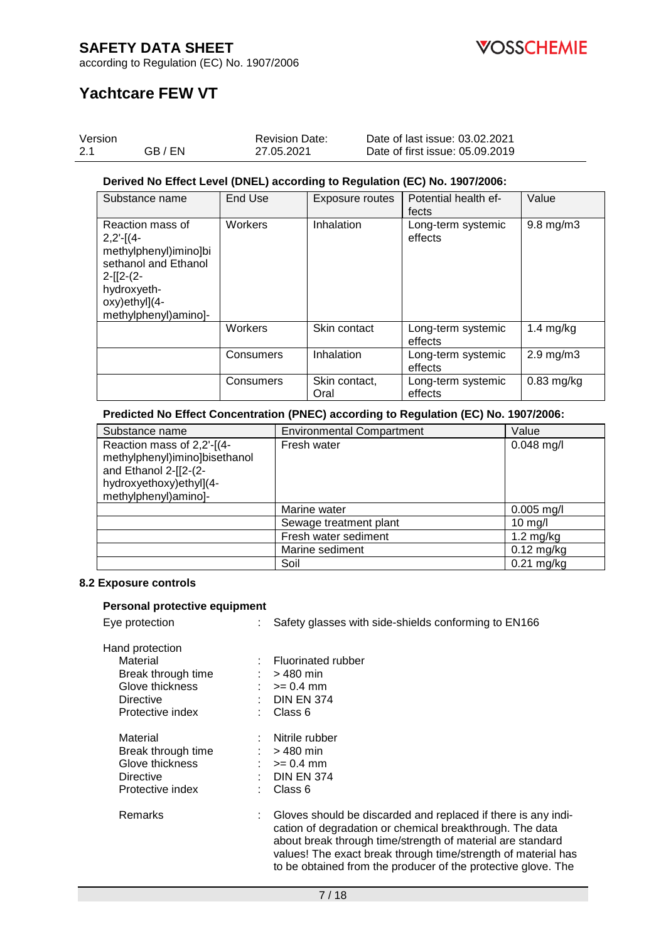

according to Regulation (EC) No. 1907/2006

# **Yachtcare FEW VT**

| Version |         | <b>Revision Date:</b> | Date of last issue: 03.02.2021  |
|---------|---------|-----------------------|---------------------------------|
| 2.1     | GB / EN | 27.05.2021            | Date of first issue: 05.09.2019 |

#### **Derived No Effect Level (DNEL) according to Regulation (EC) No. 1907/2006:**

| Substance name                                                                                                                                          | End Use   | Exposure routes       | Potential health ef-<br>fects | Value              |
|---------------------------------------------------------------------------------------------------------------------------------------------------------|-----------|-----------------------|-------------------------------|--------------------|
| Reaction mass of<br>$2,2'-[(4-$<br>methylphenyl)imino]bi<br>sethanol and Ethanol<br>$2-[12-(2-$<br>hydroxyeth-<br>oxy)ethyl](4-<br>methylphenyl)amino]- | Workers   | Inhalation            | Long-term systemic<br>effects | $9.8$ mg/m $3$     |
|                                                                                                                                                         | Workers   | Skin contact          | Long-term systemic<br>effects | 1.4 $mg/kg$        |
|                                                                                                                                                         | Consumers | Inhalation            | Long-term systemic<br>effects | $2.9 \text{ mg/m}$ |
|                                                                                                                                                         | Consumers | Skin contact,<br>Oral | Long-term systemic<br>effects | $0.83$ mg/kg       |

#### **Predicted No Effect Concentration (PNEC) according to Regulation (EC) No. 1907/2006:**

| Substance name                                                                                                                          | <b>Environmental Compartment</b> | Value               |
|-----------------------------------------------------------------------------------------------------------------------------------------|----------------------------------|---------------------|
| Reaction mass of 2,2'-[(4-<br>methylphenyl)imino]bisethanol<br>and Ethanol 2-[[2-(2-<br>hydroxyethoxy)ethyl](4-<br>methylphenyl)amino]- | Fresh water                      | $0.048$ mg/l        |
|                                                                                                                                         | Marine water                     | $0.005$ mg/l        |
|                                                                                                                                         | Sewage treatment plant           | $10 \text{ mg/l}$   |
|                                                                                                                                         | Fresh water sediment             | $1.2 \text{ mg/kg}$ |
|                                                                                                                                         | Marine sediment                  | $0.12$ mg/kg        |
|                                                                                                                                         | Soil                             | $0.21$ mg/kg        |

#### **8.2 Exposure controls**

#### **Personal protective equipment**

Eye protection : Safety glasses with side-shields conforming to EN166

| Hand protection    |                           |
|--------------------|---------------------------|
| Material           | <b>Fluorinated rubber</b> |
| Break through time | $>$ 480 min               |
| Glove thickness    | $>= 0.4$ mm               |
| Directive          | <b>DIN EN 374</b>         |
| Protective index   | Class 6                   |
| Material           | Nitrile rubber            |
| Break through time | > 480 min                 |
| Glove thickness    | $>= 0.4$ mm               |
| Directive          | <b>DIN EN 374</b>         |
| Protective index   | Class 6                   |
| Remarks            | Gloves should be a        |
|                    |                           |

discarded and replaced if there is any indication of degradation or chemical breakthrough. The data about break through time/strength of material are standard values! The exact break through time/strength of material has to be obtained from the producer of the protective glove. The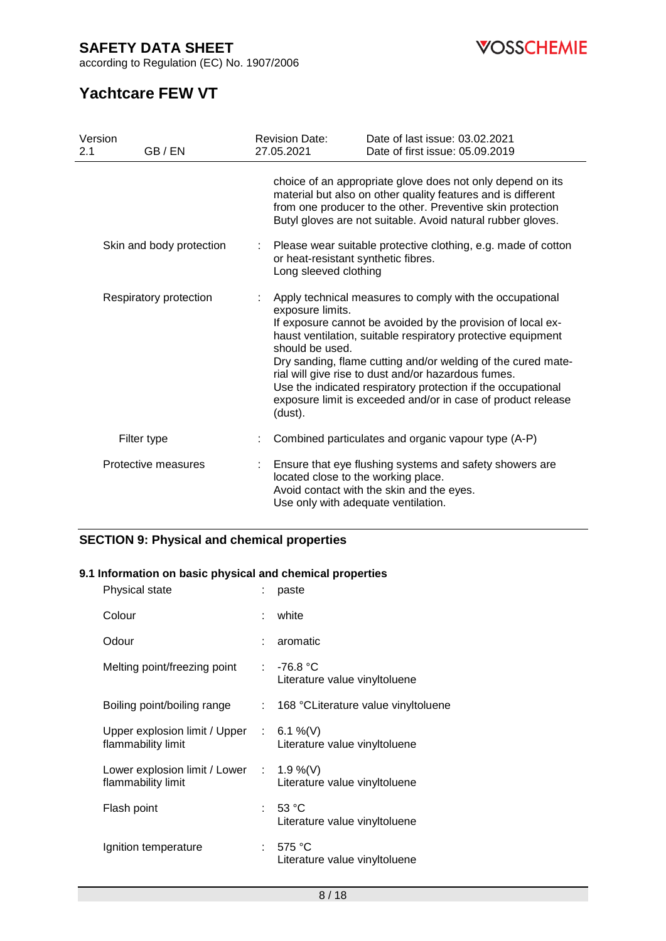according to Regulation (EC) No. 1907/2006



# **Yachtcare FEW VT**

| Version<br>GB / EN<br>2.1 | <b>Revision Date:</b><br>27.05.2021            | Date of last issue: 03.02.2021<br>Date of first issue: 05.09.2019                                                                                                                                                                                                                                                                                                                                                                              |  |
|---------------------------|------------------------------------------------|------------------------------------------------------------------------------------------------------------------------------------------------------------------------------------------------------------------------------------------------------------------------------------------------------------------------------------------------------------------------------------------------------------------------------------------------|--|
|                           |                                                | choice of an appropriate glove does not only depend on its<br>material but also on other quality features and is different<br>from one producer to the other. Preventive skin protection<br>Butyl gloves are not suitable. Avoid natural rubber gloves.                                                                                                                                                                                        |  |
| Skin and body protection  | Long sleeved clothing                          | Please wear suitable protective clothing, e.g. made of cotton<br>or heat-resistant synthetic fibres.                                                                                                                                                                                                                                                                                                                                           |  |
| Respiratory protection    | exposure limits.<br>should be used.<br>(dust). | Apply technical measures to comply with the occupational<br>If exposure cannot be avoided by the provision of local ex-<br>haust ventilation, suitable respiratory protective equipment<br>Dry sanding, flame cutting and/or welding of the cured mate-<br>rial will give rise to dust and/or hazardous fumes.<br>Use the indicated respiratory protection if the occupational<br>exposure limit is exceeded and/or in case of product release |  |
| Filter type               |                                                | Combined particulates and organic vapour type (A-P)                                                                                                                                                                                                                                                                                                                                                                                            |  |
| Protective measures       |                                                | Ensure that eye flushing systems and safety showers are<br>located close to the working place.<br>Avoid contact with the skin and the eyes.<br>Use only with adequate ventilation.                                                                                                                                                                                                                                                             |  |

### **SECTION 9: Physical and chemical properties**

#### **9.1 Information on basic physical and chemical properties**

| Physical state                                                            |                             | paste                                         |
|---------------------------------------------------------------------------|-----------------------------|-----------------------------------------------|
| Colour                                                                    | t.                          | white                                         |
| Odour                                                                     |                             | aromatic                                      |
| Melting point/freezing point                                              |                             | : $-76.8 °C$<br>Literature value vinyltoluene |
| Boiling point/boiling range                                               | $\mathcal{L}^{\mathcal{L}}$ | 168 °CLiterature value vinyltoluene           |
| Upper explosion limit / Upper $\therefore$ 6.1 %(V)<br>flammability limit |                             | Literature value vinyltoluene                 |
| Lower explosion limit / Lower : $1.9\%$ (V)<br>flammability limit         |                             | Literature value vinyltoluene                 |
| Flash point                                                               |                             | : 53 °C<br>Literature value vinyltoluene      |
| Ignition temperature                                                      | t.                          | 575 °C<br>Literature value vinyltoluene       |
|                                                                           |                             |                                               |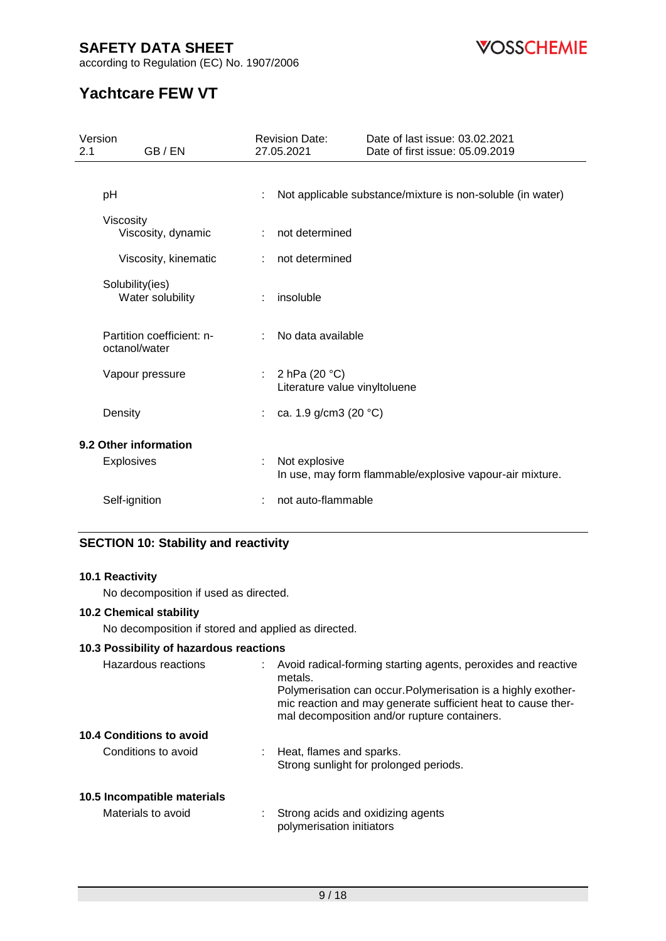**VOSSCHEMIE** 

according to Regulation (EC) No. 1907/2006

# **Yachtcare FEW VT**

| Version<br>GB / EN<br>2.1                  | <b>Revision Date:</b><br>27.05.2021                | Date of last issue: 03.02.2021<br>Date of first issue: 05.09.2019 |
|--------------------------------------------|----------------------------------------------------|-------------------------------------------------------------------|
| pH                                         |                                                    | Not applicable substance/mixture is non-soluble (in water)        |
| Viscosity<br>Viscosity, dynamic            | not determined                                     |                                                                   |
| Viscosity, kinematic                       | not determined                                     |                                                                   |
| Solubility(ies)<br>Water solubility        | insoluble<br>÷                                     |                                                                   |
| Partition coefficient: n-<br>octanol/water | No data available                                  |                                                                   |
| Vapour pressure                            | : $2 hPa (20 °C)$<br>Literature value vinyltoluene |                                                                   |
| Density                                    | ca. 1.9 g/cm3 (20 °C)                              |                                                                   |
| 9.2 Other information                      |                                                    |                                                                   |
| <b>Explosives</b>                          | Not explosive                                      | In use, may form flammable/explosive vapour-air mixture.          |
| Self-ignition                              | not auto-flammable                                 |                                                                   |

### **SECTION 10: Stability and reactivity**

#### **10.1 Reactivity**

No decomposition if used as directed.

#### **10.2 Chemical stability**

No decomposition if stored and applied as directed.

### **10.3 Possibility of hazardous reactions**

| Hazardous reactions         | Avoid radical-forming starting agents, peroxides and reactive<br>metals.<br>Polymerisation can occur. Polymerisation is a highly exother-<br>mic reaction and may generate sufficient heat to cause ther-<br>mal decomposition and/or rupture containers. |
|-----------------------------|-----------------------------------------------------------------------------------------------------------------------------------------------------------------------------------------------------------------------------------------------------------|
| 10.4 Conditions to avoid    |                                                                                                                                                                                                                                                           |
| Conditions to avoid         | Heat, flames and sparks.<br>Strong sunlight for prolonged periods.                                                                                                                                                                                        |
| 10.5 Incompatible materials |                                                                                                                                                                                                                                                           |
| Materials to avoid          | Strong acids and oxidizing agents<br>polymerisation initiators                                                                                                                                                                                            |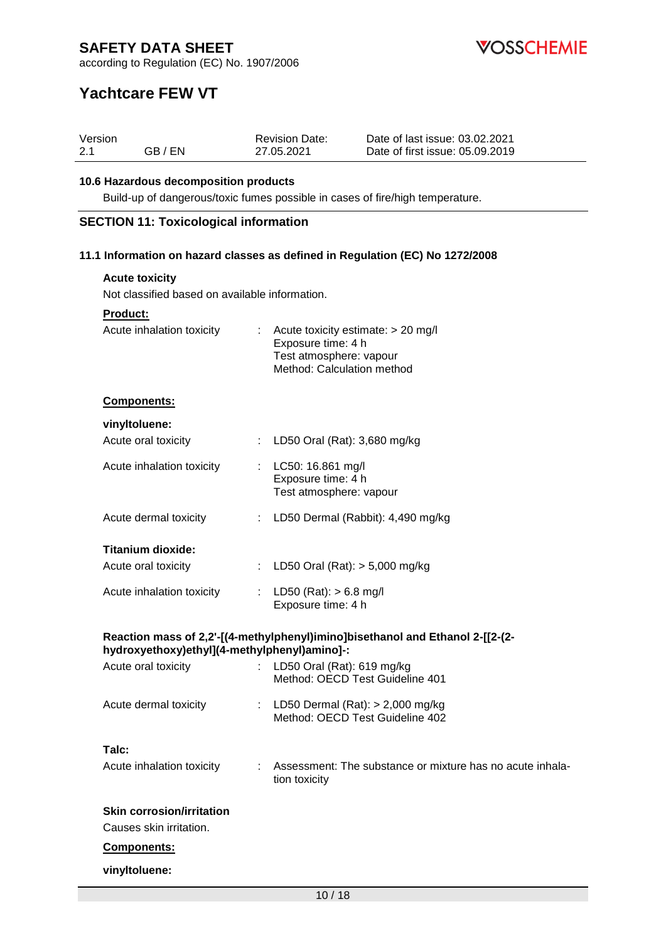**VOSSCHEMIE** 

according to Regulation (EC) No. 1907/2006

# **Yachtcare FEW VT**

| Version |         | <b>Revision Date:</b> | Date of last issue: 03.02.2021  |
|---------|---------|-----------------------|---------------------------------|
| 2.1     | GB / EN | 27.05.2021            | Date of first issue: 05.09.2019 |

#### **10.6 Hazardous decomposition products**

Build-up of dangerous/toxic fumes possible in cases of fire/high temperature.

#### **SECTION 11: Toxicological information**

#### **11.1 Information on hazard classes as defined in Regulation (EC) No 1272/2008**

| Product:                                     |    |                                                                                                                       |
|----------------------------------------------|----|-----------------------------------------------------------------------------------------------------------------------|
| Acute inhalation toxicity                    |    | : Acute toxicity estimate: $> 20$ mg/l<br>Exposure time: 4 h<br>Test atmosphere: vapour<br>Method: Calculation method |
| <b>Components:</b>                           |    |                                                                                                                       |
| vinyltoluene:                                |    |                                                                                                                       |
| Acute oral toxicity                          |    | : LD50 Oral (Rat): 3,680 mg/kg                                                                                        |
| Acute inhalation toxicity                    |    | : LC50: 16.861 mg/l<br>Exposure time: 4 h<br>Test atmosphere: vapour                                                  |
| Acute dermal toxicity                        |    | LD50 Dermal (Rabbit): 4,490 mg/kg                                                                                     |
| <b>Titanium dioxide:</b>                     |    |                                                                                                                       |
| Acute oral toxicity                          |    | : LD50 Oral (Rat): $> 5,000$ mg/kg                                                                                    |
| Acute inhalation toxicity                    |    | : LD50 (Rat): $> 6.8$ mg/l<br>Exposure time: 4 h                                                                      |
| hydroxyethoxy)ethyl](4-methylphenyl)amino]-: |    | Reaction mass of 2,2'-[(4-methylphenyl)imino]bisethanol and Ethanol 2-[[2-(2-                                         |
| Acute oral toxicity                          |    | LD50 Oral (Rat): 619 mg/kg<br>Method: OECD Test Guideline 401                                                         |
| Acute dermal toxicity                        | ÷. | LD50 Dermal $(Rat):$ > 2,000 mg/kg<br>Method: OECD Test Guideline 402                                                 |

**Skin corrosion/irritation** Causes skin irritation.

#### **Components:**

#### **vinyltoluene:**

Acute inhalation toxicity : Assessment: The substance or mixture has no acute inhala-

tion toxicity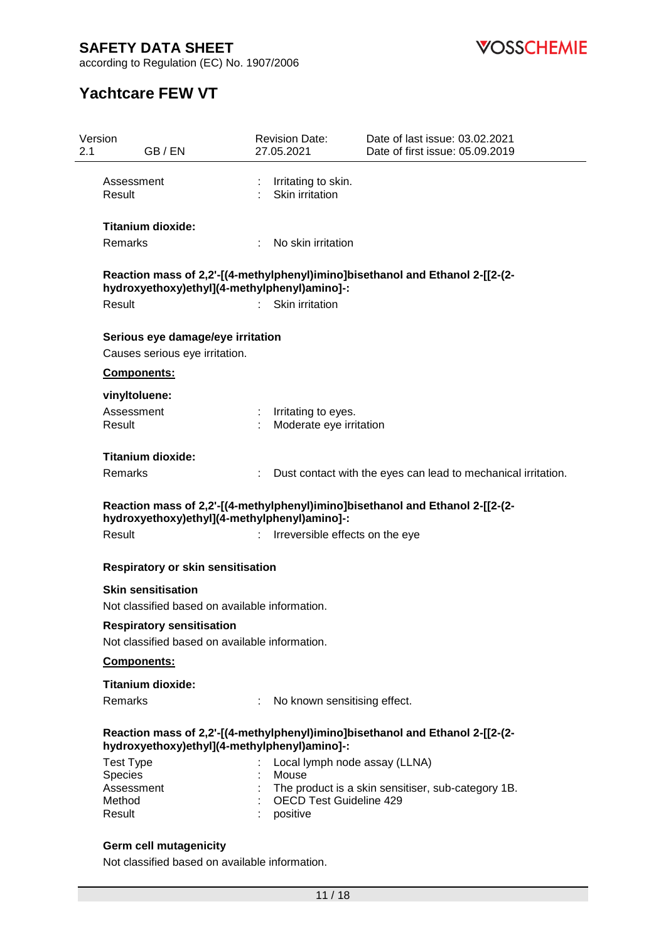**VOSSCHEMIE** 

according to Regulation (EC) No. 1907/2006

# **Yachtcare FEW VT**

| Version<br>2.1 | GB/EN                                                                       | <b>Revision Date:</b><br>27.05.2021              | Date of last issue: 03.02.2021<br>Date of first issue: 05.09.2019             |
|----------------|-----------------------------------------------------------------------------|--------------------------------------------------|-------------------------------------------------------------------------------|
|                | Assessment<br>Result                                                        | Irritating to skin.<br>Skin irritation           |                                                                               |
|                | <b>Titanium dioxide:</b>                                                    |                                                  |                                                                               |
|                | Remarks                                                                     | No skin irritation<br>÷                          |                                                                               |
|                | hydroxyethoxy)ethyl](4-methylphenyl)amino]-:                                |                                                  | Reaction mass of 2,2'-[(4-methylphenyl)imino]bisethanol and Ethanol 2-[[2-(2- |
|                | Result                                                                      | Skin irritation                                  |                                                                               |
|                | Serious eye damage/eye irritation                                           |                                                  |                                                                               |
|                | Causes serious eye irritation.                                              |                                                  |                                                                               |
|                | Components:                                                                 |                                                  |                                                                               |
|                | vinyltoluene:                                                               |                                                  |                                                                               |
|                | Assessment<br>Result                                                        | : Irritating to eyes.<br>Moderate eye irritation |                                                                               |
|                | Titanium dioxide:                                                           |                                                  |                                                                               |
|                | Remarks                                                                     |                                                  | Dust contact with the eyes can lead to mechanical irritation.                 |
|                | hydroxyethoxy)ethyl](4-methylphenyl)amino]-:<br>Result                      | Irreversible effects on the eye<br>÷             | Reaction mass of 2,2'-[(4-methylphenyl)imino]bisethanol and Ethanol 2-[[2-(2- |
|                | Respiratory or skin sensitisation                                           |                                                  |                                                                               |
|                | <b>Skin sensitisation</b><br>Not classified based on available information. |                                                  |                                                                               |
|                | <b>Respiratory sensitisation</b>                                            |                                                  |                                                                               |
|                | Not classified based on available information.                              |                                                  |                                                                               |
|                | Components:                                                                 |                                                  |                                                                               |
|                | <b>Titanium dioxide:</b>                                                    |                                                  |                                                                               |
|                | Remarks                                                                     | No known sensitising effect.                     |                                                                               |
|                | hydroxyethoxy)ethyl](4-methylphenyl)amino]-:                                |                                                  | Reaction mass of 2,2'-[(4-methylphenyl)imino]bisethanol and Ethanol 2-[[2-(2- |
|                | <b>Test Type</b>                                                            | Local lymph node assay (LLNA)                    |                                                                               |
|                | Species                                                                     | Mouse                                            |                                                                               |
|                | Assessment<br>Method                                                        | <b>OECD Test Guideline 429</b>                   | The product is a skin sensitiser, sub-category 1B.                            |
|                | Result                                                                      | positive                                         |                                                                               |
|                | <b>Germ cell mutagenicity</b>                                               |                                                  |                                                                               |

Not classified based on available information.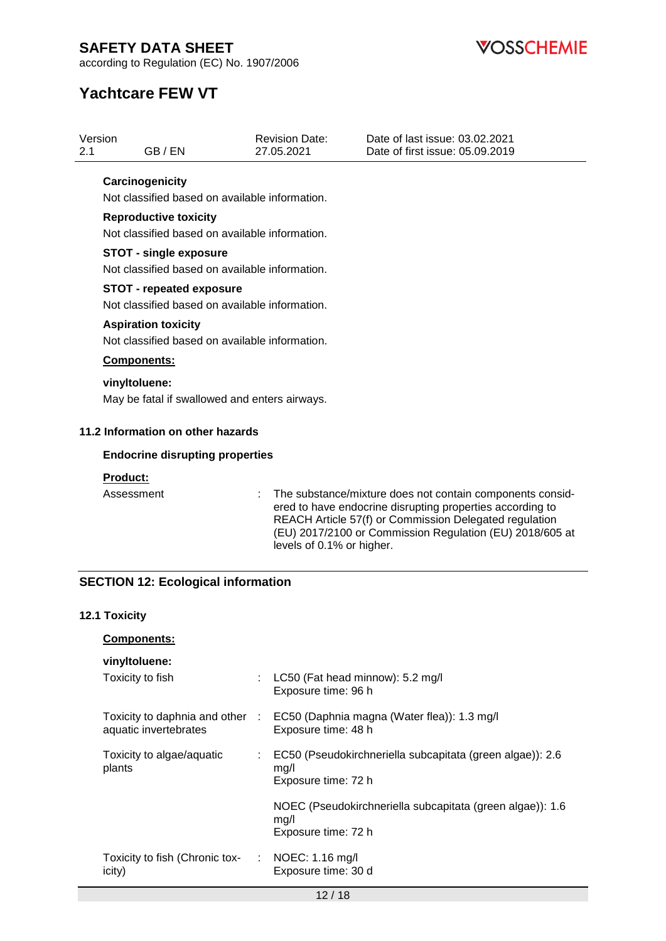

Date of last issue: 03.02.2021 Date of first issue: 05.09.2019

according to Regulation (EC) No. 1907/2006

# **Yachtcare FEW VT**

2.1 GB / EN

Version

| Carcinogenicity                                                                   |  |                                                                                                                                                                                                                                                                           |  |  |  |  |  |  |
|-----------------------------------------------------------------------------------|--|---------------------------------------------------------------------------------------------------------------------------------------------------------------------------------------------------------------------------------------------------------------------------|--|--|--|--|--|--|
| Not classified based on available information.                                    |  |                                                                                                                                                                                                                                                                           |  |  |  |  |  |  |
| <b>Reproductive toxicity</b>                                                      |  |                                                                                                                                                                                                                                                                           |  |  |  |  |  |  |
| Not classified based on available information.                                    |  |                                                                                                                                                                                                                                                                           |  |  |  |  |  |  |
| <b>STOT - single exposure</b><br>Not classified based on available information.   |  |                                                                                                                                                                                                                                                                           |  |  |  |  |  |  |
|                                                                                   |  |                                                                                                                                                                                                                                                                           |  |  |  |  |  |  |
| <b>STOT - repeated exposure</b><br>Not classified based on available information. |  |                                                                                                                                                                                                                                                                           |  |  |  |  |  |  |
| <b>Aspiration toxicity</b>                                                        |  |                                                                                                                                                                                                                                                                           |  |  |  |  |  |  |
| Not classified based on available information.                                    |  |                                                                                                                                                                                                                                                                           |  |  |  |  |  |  |
| Components:                                                                       |  |                                                                                                                                                                                                                                                                           |  |  |  |  |  |  |
| vinyltoluene:                                                                     |  |                                                                                                                                                                                                                                                                           |  |  |  |  |  |  |
| May be fatal if swallowed and enters airways.                                     |  |                                                                                                                                                                                                                                                                           |  |  |  |  |  |  |
| 11.2 Information on other hazards                                                 |  |                                                                                                                                                                                                                                                                           |  |  |  |  |  |  |
| <b>Endocrine disrupting properties</b>                                            |  |                                                                                                                                                                                                                                                                           |  |  |  |  |  |  |
| <b>Product:</b>                                                                   |  |                                                                                                                                                                                                                                                                           |  |  |  |  |  |  |
| Assessment                                                                        |  | The substance/mixture does not contain components consid-<br>ered to have endocrine disrupting properties according to<br>REACH Article 57(f) or Commission Delegated regulation<br>(EU) 2017/2100 or Commission Regulation (EU) 2018/605 at<br>levels of 0.1% or higher. |  |  |  |  |  |  |
| <b>SECTION 12: Ecological information</b>                                         |  |                                                                                                                                                                                                                                                                           |  |  |  |  |  |  |
|                                                                                   |  |                                                                                                                                                                                                                                                                           |  |  |  |  |  |  |
| 12.1 Toxicity                                                                     |  |                                                                                                                                                                                                                                                                           |  |  |  |  |  |  |
| <b>Components:</b>                                                                |  |                                                                                                                                                                                                                                                                           |  |  |  |  |  |  |
| vinyltoluene:                                                                     |  |                                                                                                                                                                                                                                                                           |  |  |  |  |  |  |
| Toxicity to fish                                                                  |  | LC50 (Fat head minnow): 5.2 mg/l<br>Exposure time: 96 h                                                                                                                                                                                                                   |  |  |  |  |  |  |
| Toxicity to daphnia and other :<br>aquatic invertebrates                          |  | EC50 (Daphnia magna (Water flea)): 1.3 mg/l<br>Exposure time: 48 h                                                                                                                                                                                                        |  |  |  |  |  |  |
| Toxicity to algae/aquatic<br>plants                                               |  | EC50 (Pseudokirchneriella subcapitata (green algae)): 2.6<br>mg/l<br>Exposure time: 72 h                                                                                                                                                                                  |  |  |  |  |  |  |
|                                                                                   |  | NOEC (Pseudokirchneriella subcapitata (green algae)): 1.6<br>mg/l<br>Exposure time: 72 h                                                                                                                                                                                  |  |  |  |  |  |  |
| Toxicity to fish (Chronic tox-<br>icity)                                          |  | NOEC: 1.16 mg/l<br>Exposure time: 30 d                                                                                                                                                                                                                                    |  |  |  |  |  |  |

Revision Date: 27.05.2021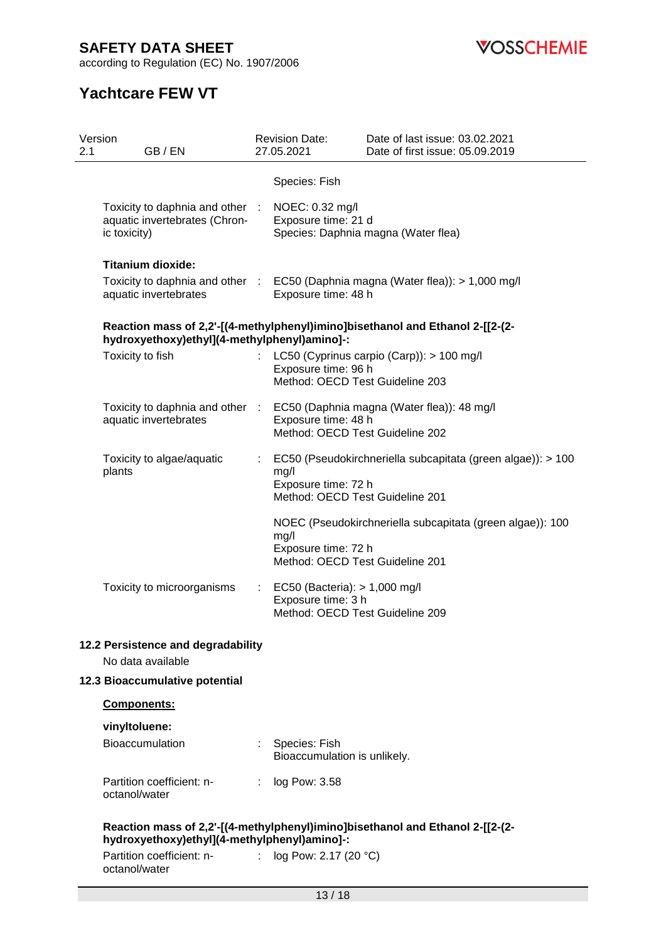according to Regulation (EC) No. 1907/2006

**VOSSCHEMIE** 

# **Yachtcare FEW VT**

| 2.1 | Version<br><b>Revision Date:</b><br>27.05.2021<br>GB/EN                          |                  |                                                                                        | Date of last issue: 03.02.2021<br>Date of first issue: 05.09.2019               |
|-----|----------------------------------------------------------------------------------|------------------|----------------------------------------------------------------------------------------|---------------------------------------------------------------------------------|
|     |                                                                                  |                  |                                                                                        |                                                                                 |
|     |                                                                                  |                  | Species: Fish                                                                          |                                                                                 |
|     | Toxicity to daphnia and other :<br>aquatic invertebrates (Chron-<br>ic toxicity) |                  | NOEC: 0.32 mg/l<br>Exposure time: 21 d                                                 | Species: Daphnia magna (Water flea)                                             |
|     | <b>Titanium dioxide:</b>                                                         |                  |                                                                                        |                                                                                 |
|     | aquatic invertebrates                                                            |                  | Exposure time: 48 h                                                                    | Toxicity to daphnia and other : EC50 (Daphnia magna (Water flea)): > 1,000 mg/l |
|     | hydroxyethoxy)ethyl](4-methylphenyl)amino]-:                                     |                  |                                                                                        | Reaction mass of 2,2'-[(4-methylphenyl)imino]bisethanol and Ethanol 2-[[2-(2-   |
|     | Toxicity to fish                                                                 |                  | Exposure time: 96 h<br>Method: OECD Test Guideline 203                                 | LC50 (Cyprinus carpio (Carp)): > 100 mg/l                                       |
|     | Toxicity to daphnia and other :<br>aquatic invertebrates                         |                  | Exposure time: 48 h<br>Method: OECD Test Guideline 202                                 | EC50 (Daphnia magna (Water flea)): 48 mg/l                                      |
|     | Toxicity to algae/aquatic<br>plants                                              | ÷.               | mg/l<br>Exposure time: 72 h<br>Method: OECD Test Guideline 201                         | EC50 (Pseudokirchneriella subcapitata (green algae)): > 100                     |
|     |                                                                                  |                  | mg/l<br>Exposure time: 72 h<br>Method: OECD Test Guideline 201                         | NOEC (Pseudokirchneriella subcapitata (green algae)): 100                       |
|     | Toxicity to microorganisms                                                       | $\mathbb{Z}^n$ . | EC50 (Bacteria): > 1,000 mg/l<br>Exposure time: 3 h<br>Method: OECD Test Guideline 209 |                                                                                 |
|     | 12.2 Persistence and degradability<br>No data available                          |                  |                                                                                        |                                                                                 |
|     | 12.3 Bioaccumulative potential                                                   |                  |                                                                                        |                                                                                 |
|     | <b>Components:</b>                                                               |                  |                                                                                        |                                                                                 |
|     | vinyltoluene:<br>Bioaccumulation                                                 |                  | Species: Fish<br>Bioaccumulation is unlikely.                                          |                                                                                 |
|     | Partition coefficient: n-<br>octanol/water                                       | ÷                | log Pow: 3.58                                                                          |                                                                                 |
|     | hydroxyethoxy)ethyl](4-methylphenyl)amino]-:                                     |                  |                                                                                        | Reaction mass of 2,2'-[(4-methylphenyl)imino]bisethanol and Ethanol 2-[[2-(2-   |
|     | Partition coefficient: n- : log Pow: 2.17 (20 °C)<br>octanol/water               |                  |                                                                                        |                                                                                 |
|     |                                                                                  |                  | 13/18                                                                                  |                                                                                 |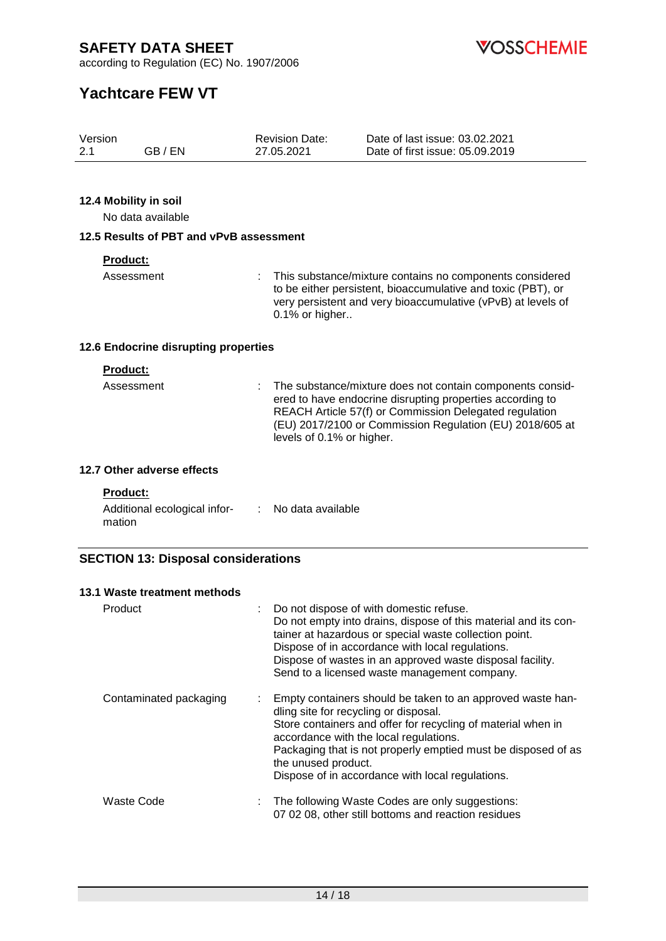**VOSSCHEMIE** 

according to Regulation (EC) No. 1907/2006

# **Yachtcare FEW VT**

| Version |         | <b>Revision Date:</b> | Date of last issue: 03.02.2021  |
|---------|---------|-----------------------|---------------------------------|
| 2.1     | GB / EN | 27.05.2021            | Date of first issue: 05.09.2019 |

#### **12.4 Mobility in soil**

No data available

#### **12.5 Results of PBT and vPvB assessment**

#### **Product:**

Assessment : This substance/mixture contains no components considered to be either persistent, bioaccumulative and toxic (PBT), or very persistent and very bioaccumulative (vPvB) at levels of 0.1% or higher..

#### **12.6 Endocrine disrupting properties**

#### **Product:**

| Assessment | : The substance/mixture does not contain components consid-<br>ered to have endocrine disrupting properties according to<br>REACH Article 57(f) or Commission Delegated regulation<br>(EU) 2017/2100 or Commission Regulation (EU) 2018/605 at |
|------------|------------------------------------------------------------------------------------------------------------------------------------------------------------------------------------------------------------------------------------------------|
|            | levels of 0.1% or higher.                                                                                                                                                                                                                      |

#### **12.7 Other adverse effects**

#### **Product:**

| Additional ecological infor- | No data available |
|------------------------------|-------------------|
| mation                       |                   |

#### **SECTION 13: Disposal considerations**

| 13.1 Waste treatment methods |                                                                                                                                                                                                                                                                                                                                                                 |  |  |
|------------------------------|-----------------------------------------------------------------------------------------------------------------------------------------------------------------------------------------------------------------------------------------------------------------------------------------------------------------------------------------------------------------|--|--|
| Product                      | Do not dispose of with domestic refuse.<br>Do not empty into drains, dispose of this material and its con-<br>tainer at hazardous or special waste collection point.<br>Dispose of in accordance with local regulations.<br>Dispose of wastes in an approved waste disposal facility.<br>Send to a licensed waste management company.                           |  |  |
| Contaminated packaging       | Empty containers should be taken to an approved waste han-<br>÷.<br>dling site for recycling or disposal.<br>Store containers and offer for recycling of material when in<br>accordance with the local regulations.<br>Packaging that is not properly emptied must be disposed of as<br>the unused product.<br>Dispose of in accordance with local regulations. |  |  |
| Waste Code                   | The following Waste Codes are only suggestions:<br>07 02 08, other still bottoms and reaction residues                                                                                                                                                                                                                                                          |  |  |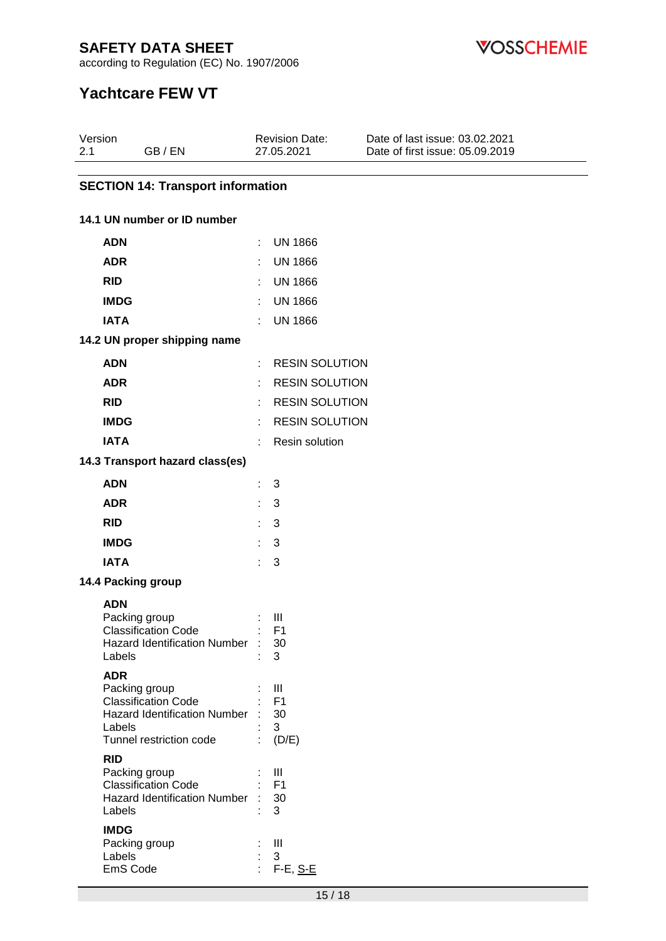**VOSSCHEMIE** 

according to Regulation (EC) No. 1907/2006

# **Yachtcare FEW VT**

| Version<br>2.1<br>GB / EN                             |    | <b>Revision Date:</b><br>27.05.2021 | Date of last issue: 03.02.2021<br>Date of first issue: 05.09.2019 |
|-------------------------------------------------------|----|-------------------------------------|-------------------------------------------------------------------|
| <b>SECTION 14: Transport information</b>              |    |                                     |                                                                   |
| 14.1 UN number or ID number                           |    |                                     |                                                                   |
| <b>ADN</b>                                            | t. | <b>UN 1866</b>                      |                                                                   |
| <b>ADR</b>                                            | ÷. | <b>UN 1866</b>                      |                                                                   |
| <b>RID</b>                                            |    | <b>UN 1866</b>                      |                                                                   |
| <b>IMDG</b>                                           | ÷  | <b>UN 1866</b>                      |                                                                   |
| <b>IATA</b>                                           | ÷  | <b>UN 1866</b>                      |                                                                   |
| 14.2 UN proper shipping name                          |    |                                     |                                                                   |
| <b>ADN</b>                                            | ÷  | <b>RESIN SOLUTION</b>               |                                                                   |
| <b>ADR</b>                                            | ٠. | <b>RESIN SOLUTION</b>               |                                                                   |
| <b>RID</b>                                            | ÷. | <b>RESIN SOLUTION</b>               |                                                                   |
| <b>IMDG</b>                                           | ÷  | <b>RESIN SOLUTION</b>               |                                                                   |
| <b>IATA</b>                                           | ÷  | Resin solution                      |                                                                   |
| 14.3 Transport hazard class(es)                       |    |                                     |                                                                   |
| <b>ADN</b>                                            | ÷. | 3                                   |                                                                   |
| <b>ADR</b>                                            | ÷. | 3                                   |                                                                   |
| <b>RID</b>                                            | ÷. | 3                                   |                                                                   |
| <b>IMDG</b>                                           | ÷. | -3                                  |                                                                   |
| <b>IATA</b>                                           | ÷. | 3                                   |                                                                   |
| 14.4 Packing group                                    |    |                                     |                                                                   |
| <b>ADN</b>                                            |    |                                     |                                                                   |
| Packing group                                         |    | Ш                                   |                                                                   |
| Classification Code<br>Hazard Identification Number : |    | F1<br>30                            |                                                                   |
| Labels                                                |    | 3                                   |                                                                   |
| <b>ADR</b>                                            |    |                                     |                                                                   |
| Packing group<br><b>Classification Code</b>           |    | Ш<br>F <sub>1</sub>                 |                                                                   |
| Hazard Identification Number                          |    | 30                                  |                                                                   |
| Labels<br>Tunnel restriction code                     |    | 3<br>(D/E)                          |                                                                   |
| <b>RID</b>                                            |    |                                     |                                                                   |
| Packing group                                         |    | Ш                                   |                                                                   |
| <b>Classification Code</b>                            |    | F <sub>1</sub>                      |                                                                   |
| <b>Hazard Identification Number</b><br>Labels         |    | 30<br>3                             |                                                                   |
| <b>IMDG</b>                                           |    |                                     |                                                                   |
| Packing group                                         |    | Ш                                   |                                                                   |
| Labels<br>EmS Code                                    |    | 3<br>F-E, <u>S-E</u>                |                                                                   |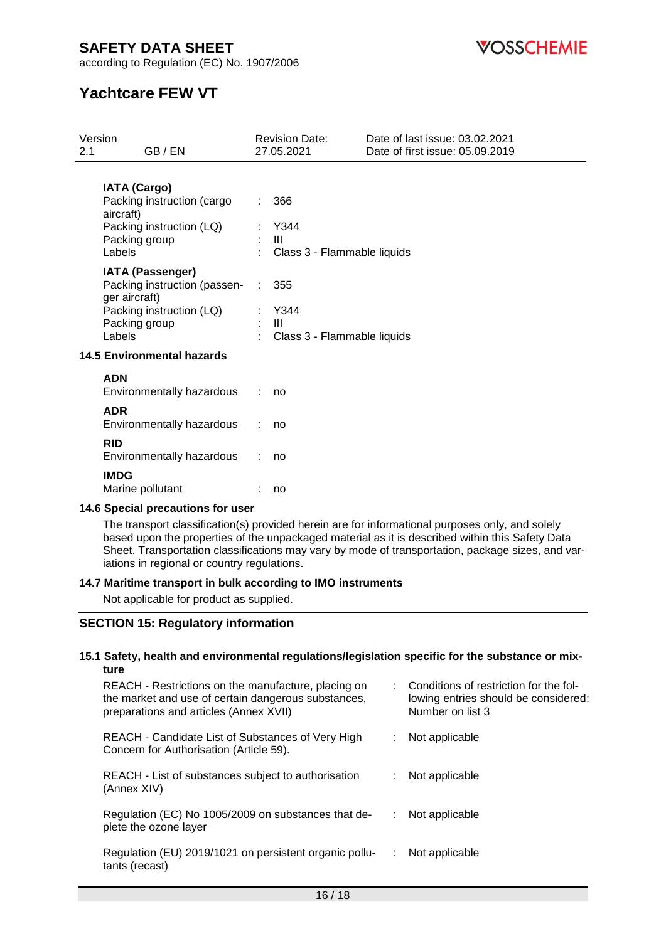according to Regulation (EC) No. 1907/2006

**VOSSCHEMIE** 

# **Yachtcare FEW VT**

| 2.1                                                                                                                                                                                                                                                      | Version<br>GB / EN                      | <b>Revision Date:</b><br>27.05.2021                                                                             | Date of last issue: 03.02.2021<br>Date of first issue: 05.09.2019 |  |  |  |
|----------------------------------------------------------------------------------------------------------------------------------------------------------------------------------------------------------------------------------------------------------|-----------------------------------------|-----------------------------------------------------------------------------------------------------------------|-------------------------------------------------------------------|--|--|--|
| <b>IATA (Cargo)</b><br>Packing instruction (cargo<br>aircraft)<br>Packing instruction (LQ)<br>Packing group<br>Labels<br><b>IATA (Passenger)</b><br>Packing instruction (passen-<br>ger aircraft)<br>Packing instruction (LQ)<br>Packing group<br>Labels |                                         | 366<br>Y344<br>$\mathbf{III}$<br>Class 3 - Flammable liquids<br>355<br>Y344<br>Ш<br>Class 3 - Flammable liquids |                                                                   |  |  |  |
|                                                                                                                                                                                                                                                          | <b>14.5 Environmental hazards</b>       |                                                                                                                 |                                                                   |  |  |  |
|                                                                                                                                                                                                                                                          | <b>ADN</b><br>Environmentally hazardous | no                                                                                                              |                                                                   |  |  |  |
|                                                                                                                                                                                                                                                          | <b>ADR</b><br>Environmentally hazardous | no                                                                                                              |                                                                   |  |  |  |
|                                                                                                                                                                                                                                                          | <b>RID</b><br>Environmentally hazardous | no                                                                                                              |                                                                   |  |  |  |
|                                                                                                                                                                                                                                                          | <b>IMDG</b><br>Marine pollutant         | no                                                                                                              |                                                                   |  |  |  |

#### **14.6 Special precautions for user**

The transport classification(s) provided herein are for informational purposes only, and solely based upon the properties of the unpackaged material as it is described within this Safety Data Sheet. Transportation classifications may vary by mode of transportation, package sizes, and variations in regional or country regulations.

#### **14.7 Maritime transport in bulk according to IMO instruments**

Not applicable for product as supplied.

#### **SECTION 15: Regulatory information**

#### **15.1 Safety, health and environmental regulations/legislation specific for the substance or mixture**

| REACH - Restrictions on the manufacture, placing on<br>the market and use of certain dangerous substances,<br>preparations and articles (Annex XVII) | : Conditions of restriction for the fol-<br>lowing entries should be considered:<br>Number on list 3 |
|------------------------------------------------------------------------------------------------------------------------------------------------------|------------------------------------------------------------------------------------------------------|
| REACH - Candidate List of Substances of Very High<br>Concern for Authorisation (Article 59).                                                         | Not applicable                                                                                       |
| REACH - List of substances subject to authorisation<br>(Annex XIV)                                                                                   | Not applicable                                                                                       |
| Regulation (EC) No 1005/2009 on substances that de-<br>plete the ozone layer                                                                         | Not applicable                                                                                       |
| Regulation (EU) 2019/1021 on persistent organic pollu-<br>tants (recast)                                                                             | Not applicable                                                                                       |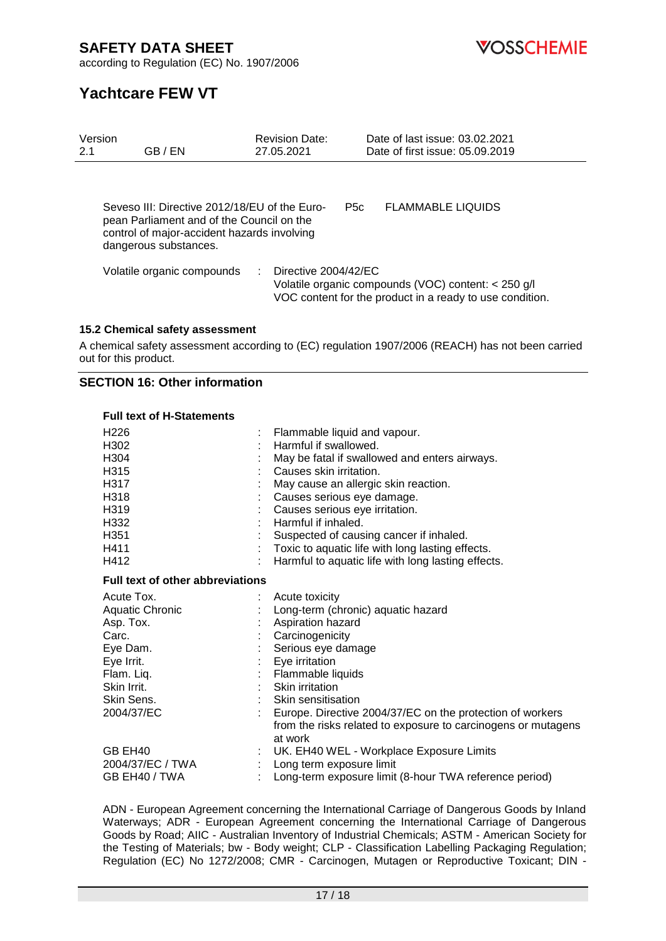**VOSSCHEMIE** 

according to Regulation (EC) No. 1907/2006

# **Yachtcare FEW VT**

| Version<br>2.1 | GB / EN                                                                                                                                                            | <b>Revision Date:</b><br>27.05.2021 | Date of last issue: 03.02.2021<br>Date of first issue: 05.09.2019                                               |
|----------------|--------------------------------------------------------------------------------------------------------------------------------------------------------------------|-------------------------------------|-----------------------------------------------------------------------------------------------------------------|
|                | Seveso III: Directive 2012/18/EU of the Euro-<br>pean Parliament and of the Council on the<br>control of major-accident hazards involving<br>dangerous substances. | <b>P5c</b>                          | <b>FLAMMABLE LIQUIDS</b>                                                                                        |
|                | Volatile organic compounds                                                                                                                                         | Directive 2004/42/EC                | Volatile organic compounds (VOC) content: < 250 g/l<br>VOC content for the product in a ready to use condition. |

#### **15.2 Chemical safety assessment**

A chemical safety assessment according to (EC) regulation 1907/2006 (REACH) has not been carried out for this product.

#### **SECTION 16: Other information**

#### **Full text of H-Statements**

| H226                                    |   | Flammable liquid and vapour.                                  |
|-----------------------------------------|---|---------------------------------------------------------------|
| H302                                    |   | Harmful if swallowed.                                         |
| H304                                    |   | May be fatal if swallowed and enters airways.                 |
| H315                                    |   | Causes skin irritation.                                       |
| H317                                    |   | May cause an allergic skin reaction.                          |
| H318                                    |   | Causes serious eye damage.                                    |
| H319                                    |   | Causes serious eye irritation.                                |
| H332                                    |   | Harmful if inhaled.                                           |
| H351                                    |   | Suspected of causing cancer if inhaled.                       |
| H411                                    |   | Toxic to aquatic life with long lasting effects.              |
| H412                                    | ÷ | Harmful to aquatic life with long lasting effects.            |
| <b>Full text of other abbreviations</b> |   |                                                               |
| Acute Tox.                              |   | Acute toxicity                                                |
| Aquatic Chronic                         |   | Long-term (chronic) aquatic hazard                            |
| Asp. Tox.                               |   | Aspiration hazard                                             |
| Carc.                                   |   | Carcinogenicity                                               |
| Eye Dam.                                |   | Serious eye damage                                            |
| Eye Irrit.                              |   | Eye irritation                                                |
| Flam. Liq.                              |   | Flammable liquids                                             |
| Skin Irrit.                             |   | : Skin irritation                                             |
| Skin Sens.                              |   | : Skin sensitisation                                          |
| 2004/37/EC                              |   | Europe. Directive 2004/37/EC on the protection of workers     |
|                                         |   | from the risks related to exposure to carcinogens or mutagens |
|                                         |   | at work                                                       |
| GB EH40                                 |   | UK. EH40 WEL - Workplace Exposure Limits                      |
| 2004/37/EC / TWA                        |   | Long term exposure limit                                      |
| GB EH40 / TWA                           |   | Long-term exposure limit (8-hour TWA reference period)        |

ADN - European Agreement concerning the International Carriage of Dangerous Goods by Inland Waterways; ADR - European Agreement concerning the International Carriage of Dangerous Goods by Road; AIIC - Australian Inventory of Industrial Chemicals; ASTM - American Society for the Testing of Materials; bw - Body weight; CLP - Classification Labelling Packaging Regulation; Regulation (EC) No 1272/2008; CMR - Carcinogen, Mutagen or Reproductive Toxicant; DIN -